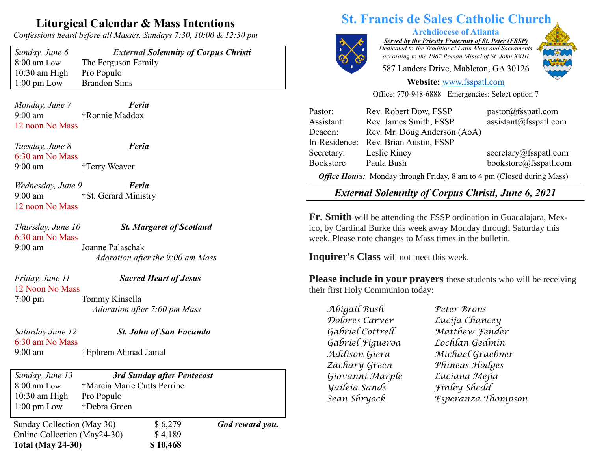## **Liturgical Calendar & Mass Intentions**

*Confessions heard before all Masses. Sundays 7:30, 10:00 & 12:30 pm*

10:30 am High Pro Populo 1:00 pm Low Brandon Sims

*Sunday, June 6 External Solemnity of Corpus Christi* 8:00 am Low The Ferguson Family

*Monday, June 7 Feria* 9:00 am †Ronnie Maddox 12 noon No Mass

*Tuesday, June 8 Feria* 6:30 am No Mass 9:00 am †Terry Weaver

*Wednesday, June 9 Feria* 9:00 am †St. Gerard Ministry 12 noon No Mass

*Thursday, June 10 St. Margaret of Scotland* 6:30 am No Mass 9:00 am Joanne Palaschak *Adoration after the 9:00 am Mass*

12 Noon No Mass

## *Friday, June 11 Sacred Heart of Jesus*

7:00 pm Tommy Kinsella  *Adoration after 7:00 pm Mass*

*Saturday June 12 St. John of San Facundo* 6:30 am No Mass 9:00 am †Ephrem Ahmad Jamal

Sunday Collection (May 30)  $$6,279$  *God reward you.* Online Collection (May24-30) \$4,189 **Total (May 24-30) \$ 10,468** *Sunday, June 13 3rd Sunday after Pentecost* 8:00 am Low †Marcia Marie Cutts Perrine 10:30 am High Pro Populo 1:00 pm Low †Debra Green

# **St. Francis de Sales Catholic Church**



**Archdiocese of Atlanta**

*Served by the Priestly Fraternity of St. Peter (FSSP) Dedicated to the Traditional Latin Mass and Sacraments according to the 1962 Roman Missal of St. John XXIII*

587 Landers Drive, Mableton, GA 30126



#### **Website:** [www.fsspatl.com](http://www.fsspatl.com/)

Office: 770-948-6888 Emergencies: Select option 7

| Pastor:                                                                | Rev. Robert Dow, FSSP        | pastor@fsspath.com                 |
|------------------------------------------------------------------------|------------------------------|------------------------------------|
| Assistant:                                                             | Rev. James Smith, FSSP       | $\text{assignment}(a)$ fsspatl.com |
| Deacon:                                                                | Rev. Mr. Doug Anderson (AoA) |                                    |
| In-Residence:                                                          | Rev. Brian Austin, FSSP      |                                    |
| Secretary:                                                             | Leslie Riney                 | secretary@fsspath.com              |
| Bookstore                                                              | Paula Bush                   | bookstore@fsspatl.com              |
| Office Hours: Monday through Friday, 8 am to 4 pm (Closed during Mass) |                              |                                    |

 $\overline{\phantom{a}}$ *External Solemnity of Corpus Christi, June 6, 2021 External Solemnity of Corpus Christi, June 0, 2021* 

**Fr. Smith** will be attending the FSSP ordination in Guadalajara, Mexico, by Cardinal Burke this week away Monday through Saturday this week. Please note changes to Mass times in the bulletin.

**Inquirer's Class** will not meet this week.

**Please include in your prayers** these students who will be receiving their first Holy Communion today:

*Abigail Bush Peter Brons Dolores Carver Lucija Chancey Gabriel Cottrell Matthew Fender Gabriel Figueroa Lochlan Gedmin Zachary Green Phineas Hodges Giovanni Marple Luciana Mejia Yaileia Sands Finley Shedd*

*Addison Giera Michael Graebner Sean Shryock Esperanza Thompson*